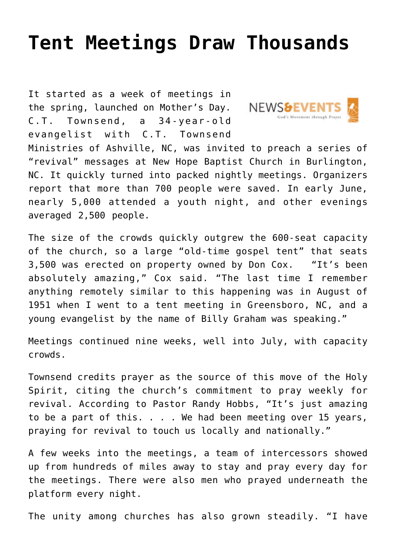## **[Tent Meetings Draw Thousands](https://www.prayerleader.com/tent-meetings-draw-thousands/)**

It started as a week of meetings in the spring, launched on Mother's Day. C.T. Townsend, a 34-year-old evangelist with C.T. Townsend



Ministries of Ashville, NC, was invited to preach a series of "revival" messages at New Hope Baptist Church in Burlington, NC. It quickly turned into packed nightly meetings. Organizers report that more than 700 people were saved. In early June, nearly 5,000 attended a youth night, and other evenings averaged 2,500 people.

The size of the crowds quickly outgrew the 600-seat capacity of the church, so a large "old-time gospel tent" that seats 3,500 was erected on property owned by Don Cox. "It's been absolutely amazing," Cox said. "The last time I remember anything remotely similar to this happening was in August of 1951 when I went to a tent meeting in Greensboro, NC, and a young evangelist by the name of Billy Graham was speaking."

Meetings continued nine weeks, well into July, with capacity crowds.

Townsend credits prayer as the source of this move of the Holy Spirit, citing the church's commitment to pray weekly for revival. According to Pastor Randy Hobbs, "It's just amazing to be a part of this. . . . We had been meeting over 15 years, praying for revival to touch us locally and nationally."

A few weeks into the meetings, a team of intercessors showed up from hundreds of miles away to stay and pray every day for the meetings. There were also men who prayed underneath the platform every night.

The unity among churches has also grown steadily. "I have